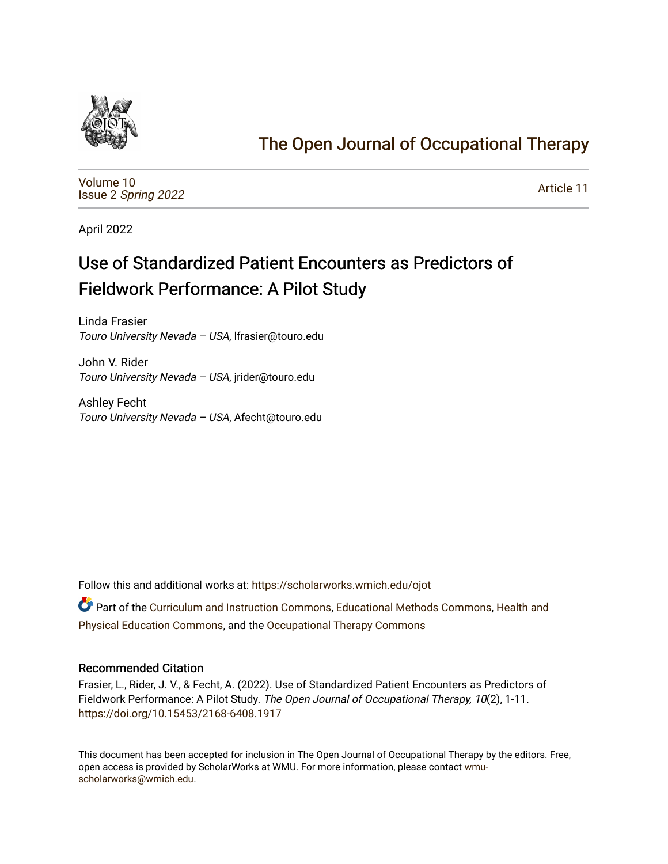

# [The Open Journal of Occupational Therapy](https://scholarworks.wmich.edu/ojot)

[Volume 10](https://scholarworks.wmich.edu/ojot/vol10) Issue 2 [Spring 2022](https://scholarworks.wmich.edu/ojot/vol10/iss2) 

[Article 11](https://scholarworks.wmich.edu/ojot/vol10/iss2/11) 

April 2022

# Use of Standardized Patient Encounters as Predictors of Fieldwork Performance: A Pilot Study

Linda Frasier Touro University Nevada – USA, lfrasier@touro.edu

John V. Rider Touro University Nevada – USA, jrider@touro.edu

Ashley Fecht Touro University Nevada – USA, Afecht@touro.edu

Follow this and additional works at: [https://scholarworks.wmich.edu/ojot](https://scholarworks.wmich.edu/ojot?utm_source=scholarworks.wmich.edu%2Fojot%2Fvol10%2Fiss2%2F11&utm_medium=PDF&utm_campaign=PDFCoverPages)

**C** Part of the [Curriculum and Instruction Commons,](http://network.bepress.com/hgg/discipline/786?utm_source=scholarworks.wmich.edu%2Fojot%2Fvol10%2Fiss2%2F11&utm_medium=PDF&utm_campaign=PDFCoverPages) [Educational Methods Commons,](http://network.bepress.com/hgg/discipline/1227?utm_source=scholarworks.wmich.edu%2Fojot%2Fvol10%2Fiss2%2F11&utm_medium=PDF&utm_campaign=PDFCoverPages) [Health and](http://network.bepress.com/hgg/discipline/1327?utm_source=scholarworks.wmich.edu%2Fojot%2Fvol10%2Fiss2%2F11&utm_medium=PDF&utm_campaign=PDFCoverPages) [Physical Education Commons,](http://network.bepress.com/hgg/discipline/1327?utm_source=scholarworks.wmich.edu%2Fojot%2Fvol10%2Fiss2%2F11&utm_medium=PDF&utm_campaign=PDFCoverPages) and the [Occupational Therapy Commons](http://network.bepress.com/hgg/discipline/752?utm_source=scholarworks.wmich.edu%2Fojot%2Fvol10%2Fiss2%2F11&utm_medium=PDF&utm_campaign=PDFCoverPages)

### Recommended Citation

Frasier, L., Rider, J. V., & Fecht, A. (2022). Use of Standardized Patient Encounters as Predictors of Fieldwork Performance: A Pilot Study. The Open Journal of Occupational Therapy, 10(2), 1-11. <https://doi.org/10.15453/2168-6408.1917>

This document has been accepted for inclusion in The Open Journal of Occupational Therapy by the editors. Free, open access is provided by ScholarWorks at WMU. For more information, please contact [wmu](mailto:wmu-scholarworks@wmich.edu)[scholarworks@wmich.edu.](mailto:wmu-scholarworks@wmich.edu)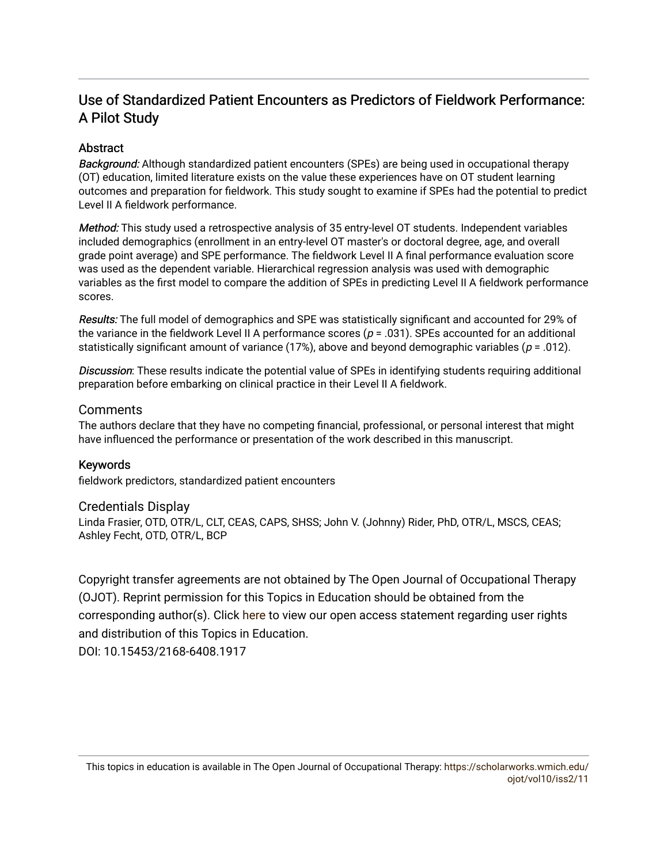## Use of Standardized Patient Encounters as Predictors of Fieldwork Performance: A Pilot Study

## **Abstract**

Background: Although standardized patient encounters (SPEs) are being used in occupational therapy (OT) education, limited literature exists on the value these experiences have on OT student learning outcomes and preparation for fieldwork. This study sought to examine if SPEs had the potential to predict Level II A fieldwork performance.

Method: This study used a retrospective analysis of 35 entry-level OT students. Independent variables included demographics (enrollment in an entry-level OT master's or doctoral degree, age, and overall grade point average) and SPE performance. The fieldwork Level II A final performance evaluation score was used as the dependent variable. Hierarchical regression analysis was used with demographic variables as the first model to compare the addition of SPEs in predicting Level II A fieldwork performance scores.

Results: The full model of demographics and SPE was statistically significant and accounted for 29% of the variance in the fieldwork Level II A performance scores ( $p = .031$ ). SPEs accounted for an additional statistically significant amount of variance (17%), above and beyond demographic variables ( $p = .012$ ).

Discussion: These results indicate the potential value of SPEs in identifying students requiring additional preparation before embarking on clinical practice in their Level II A fieldwork.

## Comments

The authors declare that they have no competing financial, professional, or personal interest that might have influenced the performance or presentation of the work described in this manuscript.

## Keywords

fieldwork predictors, standardized patient encounters

### Credentials Display

Linda Frasier, OTD, OTR/L, CLT, CEAS, CAPS, SHSS; John V. (Johnny) Rider, PhD, OTR/L, MSCS, CEAS; Ashley Fecht, OTD, OTR/L, BCP

Copyright transfer agreements are not obtained by The Open Journal of Occupational Therapy (OJOT). Reprint permission for this Topics in Education should be obtained from the corresponding author(s). Click [here](https://scholarworks.wmich.edu/ojot/policies.html#rights) to view our open access statement regarding user rights and distribution of this Topics in Education.

DOI: 10.15453/2168-6408.1917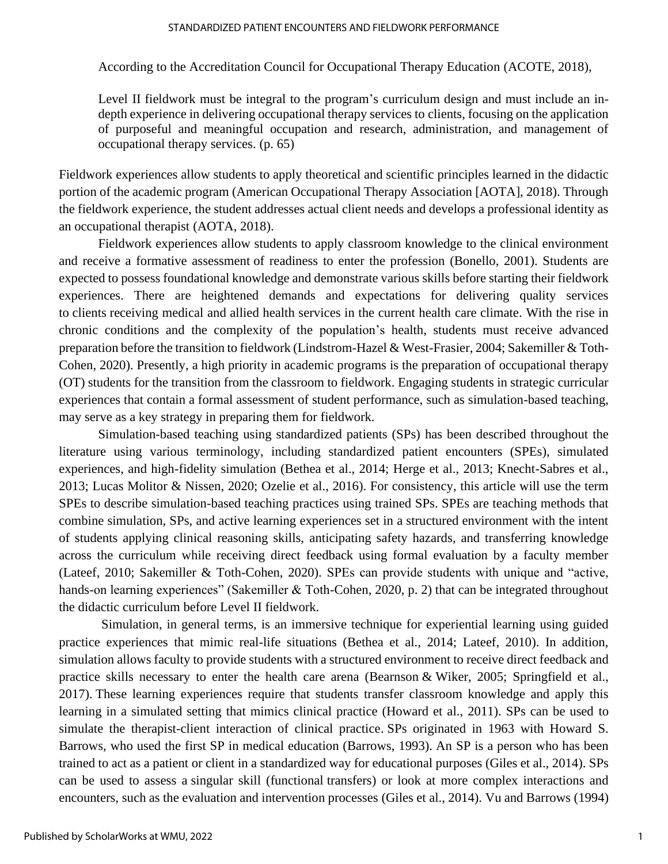#### STANDARDIZED PATIENT ENCOUNTERS AND FIELDWORK PERFORMANCE

According to the Accreditation Council for Occupational Therapy Education (ACOTE, 2018),

Level II fieldwork must be integral to the program's curriculum design and must include an indepth experience in delivering occupational therapy services to clients, focusing on the application of purposeful and meaningful occupation and research, administration, and management of occupational therapy services. (p. 65)

Fieldwork experiences allow students to apply theoretical and scientific principles learned in the didactic portion of the academic program (American Occupational Therapy Association [AOTA], 2018). Through the fieldwork experience, the student addresses actual client needs and develops a professional identity as an occupational therapist (AOTA, 2018).

Fieldwork experiences allow students to apply classroom knowledge to the clinical environment and receive a formative assessment of readiness to enter the profession (Bonello, 2001). Students are expected to possess foundational knowledge and demonstrate various skills before starting their fieldwork experiences. There are heightened demands and expectations for delivering quality services to clients receiving medical and allied health services in the current health care climate. With the rise in chronic conditions and the complexity of the population's health, students must receive advanced preparation before the transition to fieldwork (Lindstrom-Hazel & West-Frasier, 2004; Sakemiller & Toth-Cohen, 2020). Presently, a high priority in academic programs is the preparation of occupational therapy (OT) students for the transition from the classroom to fieldwork. Engaging students in strategic curricular experiences that contain a formal assessment of student performance, such as simulation-based teaching, may serve as a key strategy in preparing them for fieldwork.

Simulation-based teaching using standardized patients (SPs) has been described throughout the literature using various terminology, including standardized patient encounters (SPEs), simulated experiences, and high-fidelity simulation (Bethea et al., 2014; Herge et al., 2013; Knecht-Sabres et al., 2013; Lucas Molitor & Nissen, 2020; Ozelie et al., 2016). For consistency, this article will use the term SPEs to describe simulation-based teaching practices using trained SPs. SPEs are teaching methods that combine simulation, SPs, and active learning experiences set in a structured environment with the intent of students applying clinical reasoning skills, anticipating safety hazards, and transferring knowledge across the curriculum while receiving direct feedback using formal evaluation by a faculty member (Lateef, 2010; Sakemiller & Toth-Cohen, 2020). SPEs can provide students with unique and "active, hands-on learning experiences" (Sakemiller & Toth-Cohen, 2020, p. 2) that can be integrated throughout the didactic curriculum before Level II fieldwork.

Simulation, in general terms, is an immersive technique for experiential learning using guided practice experiences that mimic real-life situations (Bethea et al., 2014; Lateef, 2010). In addition, simulation allows faculty to provide students with a structured environment to receive direct feedback and practice skills necessary to enter the health care arena (Bearnson & Wiker, 2005; Springfield et al., 2017). These learning experiences require that students transfer classroom knowledge and apply this learning in a simulated setting that mimics clinical practice (Howard et al., 2011). SPs can be used to simulate the therapist-client interaction of clinical practice. SPs originated in 1963 with Howard S. Barrows, who used the first SP in medical education (Barrows, 1993). An SP is a person who has been trained to act as a patient or client in a standardized way for educational purposes (Giles et al., 2014). SPs can be used to assess a singular skill (functional transfers) or look at more complex interactions and encounters, such as the evaluation and intervention processes (Giles et al., 2014). Vu and Barrows (1994)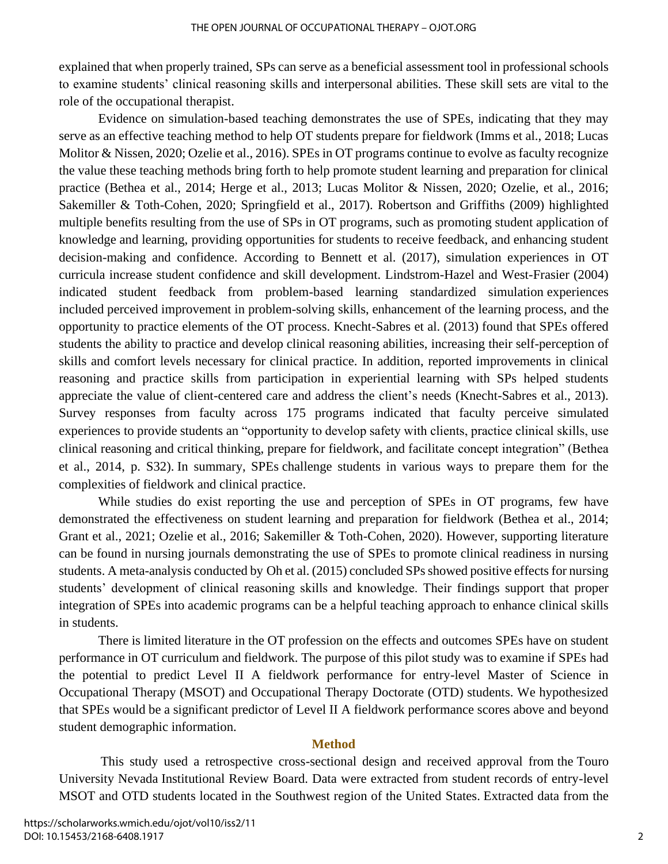explained that when properly trained, SPs can serve as a beneficial assessment tool in professional schools to examine students' clinical reasoning skills and interpersonal abilities. These skill sets are vital to the role of the occupational therapist.

Evidence on simulation-based teaching demonstrates the use of SPEs, indicating that they may serve as an effective teaching method to help OT students prepare for fieldwork (Imms et al., 2018; Lucas Molitor & Nissen, 2020; Ozelie et al., 2016). SPEs in OT programs continue to evolve as faculty recognize the value these teaching methods bring forth to help promote student learning and preparation for clinical practice (Bethea et al., 2014; Herge et al., 2013; Lucas Molitor & Nissen, 2020; Ozelie, et al., 2016; Sakemiller & Toth-Cohen, 2020; Springfield et al., 2017). Robertson and Griffiths (2009) highlighted multiple benefits resulting from the use of SPs in OT programs, such as promoting student application of knowledge and learning, providing opportunities for students to receive feedback, and enhancing student decision-making and confidence. According to Bennett et al. (2017), simulation experiences in OT curricula increase student confidence and skill development. Lindstrom-Hazel and West-Frasier (2004) indicated student feedback from problem-based learning standardized simulation experiences included perceived improvement in problem-solving skills, enhancement of the learning process, and the opportunity to practice elements of the OT process. Knecht-Sabres et al. (2013) found that SPEs offered students the ability to practice and develop clinical reasoning abilities, increasing their self-perception of skills and comfort levels necessary for clinical practice. In addition, reported improvements in clinical reasoning and practice skills from participation in experiential learning with SPs helped students appreciate the value of client-centered care and address the client's needs (Knecht-Sabres et al., 2013). Survey responses from faculty across 175 programs indicated that faculty perceive simulated experiences to provide students an "opportunity to develop safety with clients, practice clinical skills, use clinical reasoning and critical thinking, prepare for fieldwork, and facilitate concept integration" (Bethea et al., 2014, p. S32). In summary, SPEs challenge students in various ways to prepare them for the complexities of fieldwork and clinical practice.

While studies do exist reporting the use and perception of SPEs in OT programs, few have demonstrated the effectiveness on student learning and preparation for fieldwork (Bethea et al., 2014; Grant et al., 2021; Ozelie et al., 2016; Sakemiller & Toth-Cohen, 2020). However, supporting literature can be found in nursing journals demonstrating the use of SPEs to promote clinical readiness in nursing students. A meta-analysis conducted by Oh et al. (2015) concluded SPs showed positive effects for nursing students' development of clinical reasoning skills and knowledge. Their findings support that proper integration of SPEs into academic programs can be a helpful teaching approach to enhance clinical skills in students.

There is limited literature in the OT profession on the effects and outcomes SPEs have on student performance in OT curriculum and fieldwork. The purpose of this pilot study was to examine if SPEs had the potential to predict Level II A fieldwork performance for entry-level Master of Science in Occupational Therapy (MSOT) and Occupational Therapy Doctorate (OTD) students. We hypothesized that SPEs would be a significant predictor of Level II A fieldwork performance scores above and beyond student demographic information.

## **Method**

 This study used a retrospective cross-sectional design and received approval from the Touro University Nevada Institutional Review Board. Data were extracted from student records of entry-level MSOT and OTD students located in the Southwest region of the United States. Extracted data from the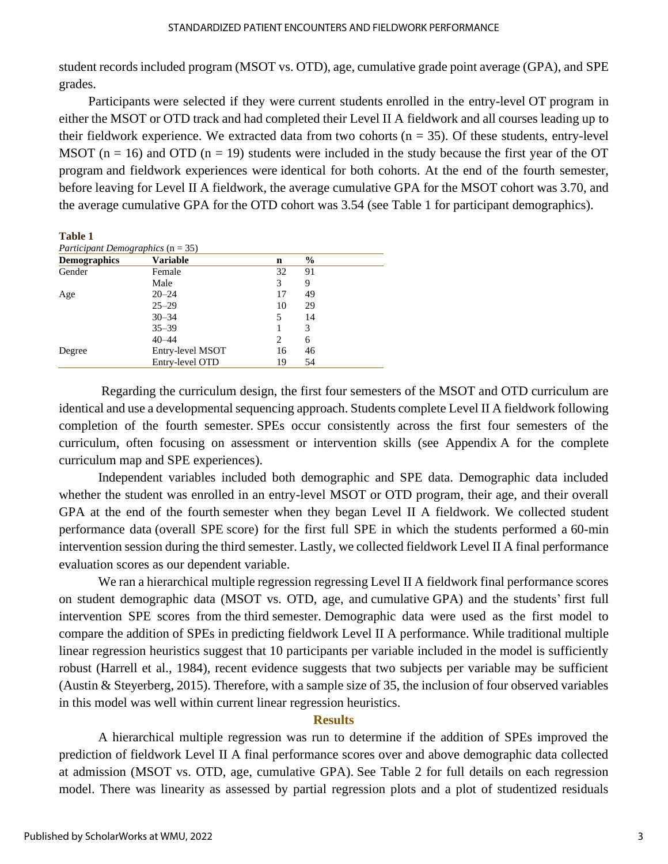student records included program (MSOT vs. OTD), age, cumulative grade point average (GPA), and SPE grades.

 Participants were selected if they were current students enrolled in the entry-level OT program in either the MSOT or OTD track and had completed their Level II A fieldwork and all courses leading up to their fieldwork experience. We extracted data from two cohorts ( $n = 35$ ). Of these students, entry-level MSOT ( $n = 16$ ) and OTD ( $n = 19$ ) students were included in the study because the first year of the OT program and fieldwork experiences were identical for both cohorts. At the end of the fourth semester, before leaving for Level II A fieldwork, the average cumulative GPA for the MSOT cohort was 3.70, and the average cumulative GPA for the OTD cohort was 3.54 (see Table 1 for participant demographics).

**Table 1**

| Participant Demographics $(n = 35)$ |                  |    |               |  |
|-------------------------------------|------------------|----|---------------|--|
| <b>Demographics</b>                 | <b>Variable</b>  | n  | $\frac{0}{0}$ |  |
| Gender                              | Female           | 32 | 91            |  |
|                                     | Male             | 3  | 9             |  |
| Age                                 | $20 - 24$        | 17 | 49            |  |
|                                     | $25 - 29$        | 10 | 29            |  |
|                                     | $30 - 34$        | 5  | 14            |  |
|                                     | $35 - 39$        |    | 3             |  |
|                                     | $40 - 44$        | 2  | 6             |  |
| Degree                              | Entry-level MSOT | 16 | 46            |  |
|                                     | Entry-level OTD  | 19 | 54            |  |

Regarding the curriculum design, the first four semesters of the MSOT and OTD curriculum are identical and use a developmental sequencing approach. Students complete Level II A fieldwork following completion of the fourth semester. SPEs occur consistently across the first four semesters of the curriculum, often focusing on assessment or intervention skills (see Appendix A for the complete curriculum map and SPE experiences).

Independent variables included both demographic and SPE data. Demographic data included whether the student was enrolled in an entry-level MSOT or OTD program, their age, and their overall GPA at the end of the fourth semester when they began Level II A fieldwork. We collected student performance data (overall SPE score) for the first full SPE in which the students performed a 60-min intervention session during the third semester. Lastly, we collected fieldwork Level II A final performance evaluation scores as our dependent variable.

We ran a hierarchical multiple regression regressing Level II A fieldwork final performance scores on student demographic data (MSOT vs. OTD, age, and cumulative GPA) and the students' first full intervention SPE scores from the third semester. Demographic data were used as the first model to compare the addition of SPEs in predicting fieldwork Level II A performance. While traditional multiple linear regression heuristics suggest that 10 participants per variable included in the model is sufficiently robust (Harrell et al., 1984), recent evidence suggests that two subjects per variable may be sufficient (Austin & Steyerberg, 2015). Therefore, with a sample size of 35, the inclusion of four observed variables in this model was well within current linear regression heuristics.

## **Results**

A hierarchical multiple regression was run to determine if the addition of SPEs improved the prediction of fieldwork Level II A final performance scores over and above demographic data collected at admission (MSOT vs. OTD, age, cumulative GPA). See Table 2 for full details on each regression model. There was linearity as assessed by partial regression plots and a plot of studentized residuals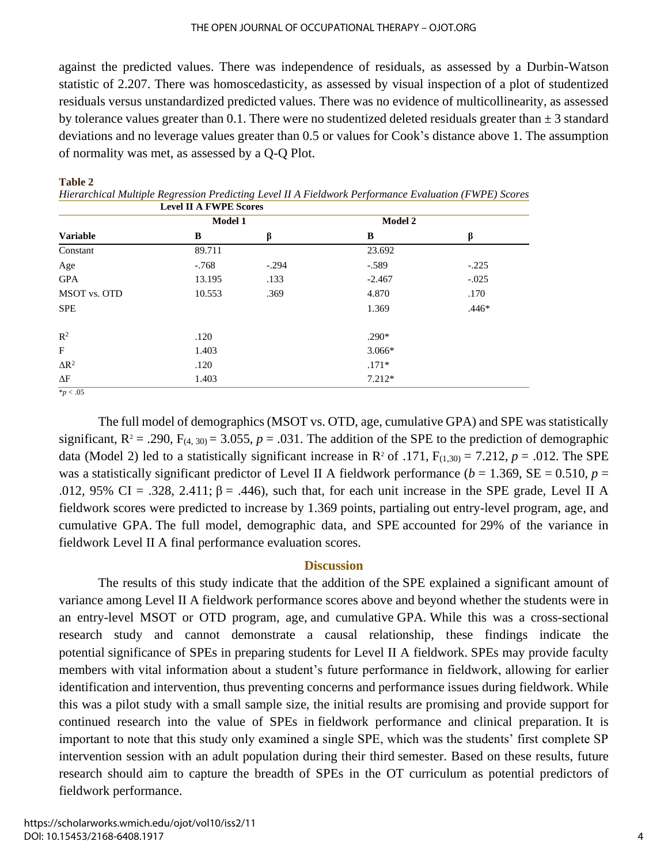against the predicted values. There was independence of residuals, as assessed by a Durbin-Watson statistic of 2.207. There was homoscedasticity, as assessed by visual inspection of a plot of studentized residuals versus unstandardized predicted values. There was no evidence of multicollinearity, as assessed by tolerance values greater than 0.1. There were no studentized deleted residuals greater than  $\pm$  3 standard deviations and no leverage values greater than 0.5 or values for Cook's distance above 1. The assumption of normality was met, as assessed by a Q-Q Plot.

|                 | <b>Model 1</b> |         | Model 2  |         |
|-----------------|----------------|---------|----------|---------|
| <b>Variable</b> | B              | β       | B        | β       |
| Constant        | 89.711         |         | 23.692   |         |
| Age             | $-.768$        | $-.294$ | $-.589$  | $-.225$ |
| <b>GPA</b>      | 13.195         | .133    | $-2.467$ | $-.025$ |
| MSOT vs. OTD    | 10.553         | .369    | 4.870    | .170    |
| <b>SPE</b>      |                |         | 1.369    | $.446*$ |
| $\mathbb{R}^2$  | .120           |         | $.290*$  |         |
| $\mathbf{F}$    | 1.403          |         | $3.066*$ |         |
| $\Delta R^2$    | .120           |         | $.171*$  |         |
| $\Delta F$      | 1.403          |         | $7.212*$ |         |

#### **Table 2**

*Hierarchical Multiple Regression Predicting Level II A Fieldwork Performance Evaluation (FWPE) Scores*

The full model of demographics (MSOT vs. OTD, age, cumulative GPA) and SPE was statistically significant,  $R^2 = .290$ ,  $F_{(4, 30)} = 3.055$ ,  $p = .031$ . The addition of the SPE to the prediction of demographic data (Model 2) led to a statistically significant increase in  $\mathbb{R}^2$  of .171,  $F_{(1,30)} = 7.212$ ,  $p = .012$ . The SPE was a statistically significant predictor of Level II A fieldwork performance ( $b = 1.369$ , SE = 0.510,  $p =$ .012, 95% CI = .328, 2.411;  $\beta$  = .446), such that, for each unit increase in the SPE grade, Level II A fieldwork scores were predicted to increase by 1.369 points, partialing out entry-level program, age, and cumulative GPA. The full model, demographic data, and SPE accounted for 29% of the variance in fieldwork Level II A final performance evaluation scores.

## **Discussion**

The results of this study indicate that the addition of the SPE explained a significant amount of variance among Level II A fieldwork performance scores above and beyond whether the students were in an entry-level MSOT or OTD program, age, and cumulative GPA. While this was a cross-sectional research study and cannot demonstrate a causal relationship, these findings indicate the potential significance of SPEs in preparing students for Level II A fieldwork. SPEs may provide faculty members with vital information about a student's future performance in fieldwork, allowing for earlier identification and intervention, thus preventing concerns and performance issues during fieldwork. While this was a pilot study with a small sample size, the initial results are promising and provide support for continued research into the value of SPEs in fieldwork performance and clinical preparation. It is important to note that this study only examined a single SPE, which was the students' first complete SP intervention session with an adult population during their third semester. Based on these results, future research should aim to capture the breadth of SPEs in the OT curriculum as potential predictors of fieldwork performance.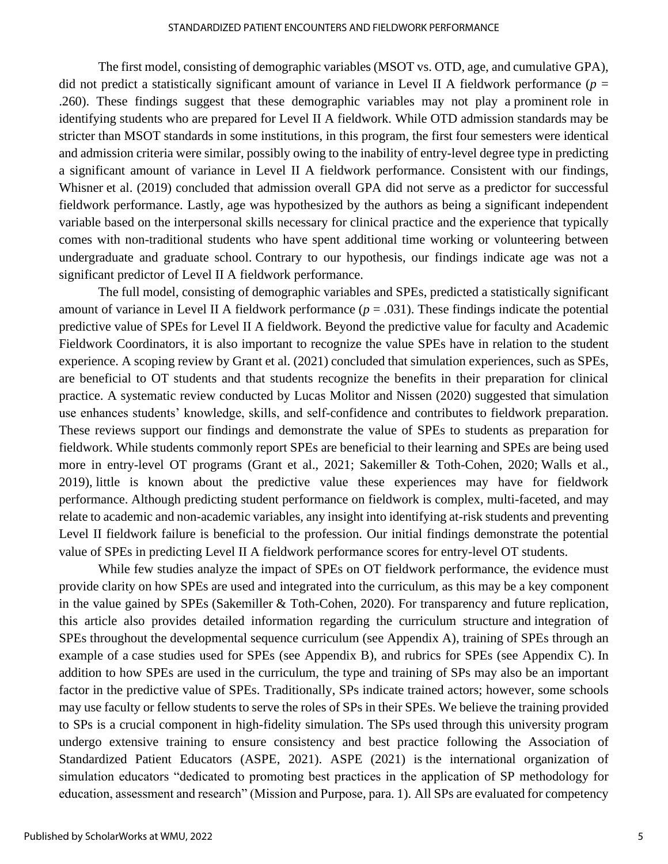The first model, consisting of demographic variables (MSOT vs. OTD, age, and cumulative GPA), did not predict a statistically significant amount of variance in Level II A fieldwork performance  $(p =$ .260). These findings suggest that these demographic variables may not play a prominent role in identifying students who are prepared for Level II A fieldwork. While OTD admission standards may be stricter than MSOT standards in some institutions, in this program, the first four semesters were identical and admission criteria were similar, possibly owing to the inability of entry-level degree type in predicting a significant amount of variance in Level II A fieldwork performance. Consistent with our findings, Whisner et al. (2019) concluded that admission overall GPA did not serve as a predictor for successful fieldwork performance. Lastly, age was hypothesized by the authors as being a significant independent variable based on the interpersonal skills necessary for clinical practice and the experience that typically comes with non-traditional students who have spent additional time working or volunteering between undergraduate and graduate school. Contrary to our hypothesis, our findings indicate age was not a significant predictor of Level II A fieldwork performance.

The full model, consisting of demographic variables and SPEs, predicted a statistically significant amount of variance in Level II A fieldwork performance  $(p = .031)$ . These findings indicate the potential predictive value of SPEs for Level II A fieldwork. Beyond the predictive value for faculty and Academic Fieldwork Coordinators, it is also important to recognize the value SPEs have in relation to the student experience. A scoping review by Grant et al. (2021) concluded that simulation experiences, such as SPEs, are beneficial to OT students and that students recognize the benefits in their preparation for clinical practice. A systematic review conducted by Lucas Molitor and Nissen (2020) suggested that simulation use enhances students' knowledge, skills, and self-confidence and contributes to fieldwork preparation. These reviews support our findings and demonstrate the value of SPEs to students as preparation for fieldwork. While students commonly report SPEs are beneficial to their learning and SPEs are being used more in entry-level OT programs (Grant et al., 2021; Sakemiller & Toth-Cohen, 2020; Walls et al., 2019), little is known about the predictive value these experiences may have for fieldwork performance. Although predicting student performance on fieldwork is complex, multi-faceted, and may relate to academic and non-academic variables, any insight into identifying at-risk students and preventing Level II fieldwork failure is beneficial to the profession. Our initial findings demonstrate the potential value of SPEs in predicting Level II A fieldwork performance scores for entry-level OT students.

While few studies analyze the impact of SPEs on OT fieldwork performance, the evidence must provide clarity on how SPEs are used and integrated into the curriculum, as this may be a key component in the value gained by SPEs (Sakemiller & Toth-Cohen, 2020). For transparency and future replication, this article also provides detailed information regarding the curriculum structure and integration of SPEs throughout the developmental sequence curriculum (see Appendix A), training of SPEs through an example of a case studies used for SPEs (see Appendix B), and rubrics for SPEs (see Appendix C). In addition to how SPEs are used in the curriculum, the type and training of SPs may also be an important factor in the predictive value of SPEs. Traditionally, SPs indicate trained actors; however, some schools may use faculty or fellow students to serve the roles of SPs in their SPEs. We believe the training provided to SPs is a crucial component in high-fidelity simulation. The SPs used through this university program undergo extensive training to ensure consistency and best practice following the Association of Standardized Patient Educators (ASPE, 2021). ASPE (2021) is the international organization of simulation educators "dedicated to promoting best practices in the application of SP methodology for education, assessment and research" (Mission and Purpose, para. 1). All SPs are evaluated for competency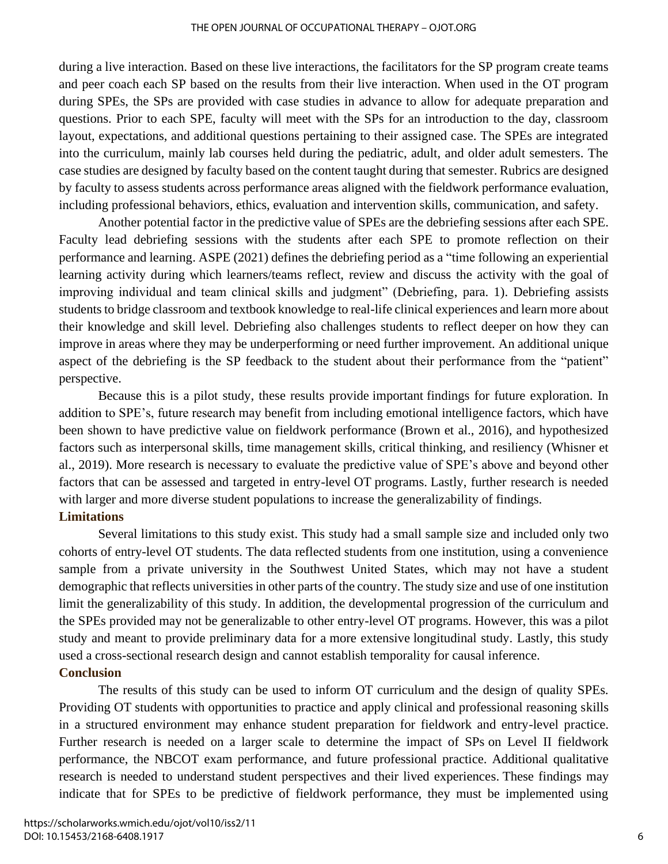#### THE OPEN JOURNAL OF OCCUPATIONAL THERAPY – OJOT.ORG

during a live interaction. Based on these live interactions, the facilitators for the SP program create teams and peer coach each SP based on the results from their live interaction. When used in the OT program during SPEs, the SPs are provided with case studies in advance to allow for adequate preparation and questions. Prior to each SPE, faculty will meet with the SPs for an introduction to the day, classroom layout, expectations, and additional questions pertaining to their assigned case. The SPEs are integrated into the curriculum, mainly lab courses held during the pediatric, adult, and older adult semesters. The case studies are designed by faculty based on the content taught during that semester. Rubrics are designed by faculty to assess students across performance areas aligned with the fieldwork performance evaluation, including professional behaviors, ethics, evaluation and intervention skills, communication, and safety.

Another potential factor in the predictive value of SPEs are the debriefing sessions after each SPE. Faculty lead debriefing sessions with the students after each SPE to promote reflection on their performance and learning. ASPE (2021) defines the debriefing period as a "time following an experiential learning activity during which learners/teams reflect, review and discuss the activity with the goal of improving individual and team clinical skills and judgment" (Debriefing, para. 1). Debriefing assists students to bridge classroom and textbook knowledge to real-life clinical experiences and learn more about their knowledge and skill level. Debriefing also challenges students to reflect deeper on how they can improve in areas where they may be underperforming or need further improvement. An additional unique aspect of the debriefing is the SP feedback to the student about their performance from the "patient" perspective.

Because this is a pilot study, these results provide important findings for future exploration. In addition to SPE's, future research may benefit from including emotional intelligence factors, which have been shown to have predictive value on fieldwork performance (Brown et al., 2016), and hypothesized factors such as interpersonal skills, time management skills, critical thinking, and resiliency (Whisner et al., 2019). More research is necessary to evaluate the predictive value of SPE's above and beyond other factors that can be assessed and targeted in entry-level OT programs. Lastly, further research is needed with larger and more diverse student populations to increase the generalizability of findings. **Limitations**

## Several limitations to this study exist. This study had a small sample size and included only two cohorts of entry-level OT students. The data reflected students from one institution, using a convenience sample from a private university in the Southwest United States, which may not have a student demographic that reflects universities in other parts of the country. The study size and use of one institution limit the generalizability of this study. In addition, the developmental progression of the curriculum and the SPEs provided may not be generalizable to other entry-level OT programs. However, this was a pilot study and meant to provide preliminary data for a more extensive longitudinal study. Lastly, this study used a cross-sectional research design and cannot establish temporality for causal inference.

## **Conclusion**

The results of this study can be used to inform OT curriculum and the design of quality SPEs. Providing OT students with opportunities to practice and apply clinical and professional reasoning skills in a structured environment may enhance student preparation for fieldwork and entry-level practice. Further research is needed on a larger scale to determine the impact of SPs on Level II fieldwork performance, the NBCOT exam performance, and future professional practice. Additional qualitative research is needed to understand student perspectives and their lived experiences. These findings may indicate that for SPEs to be predictive of fieldwork performance, they must be implemented using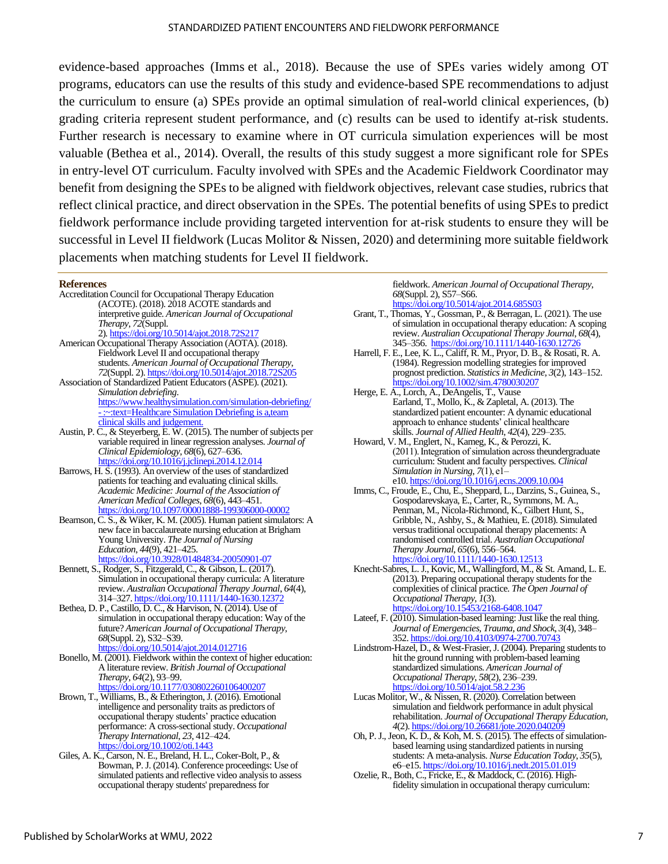#### STANDARDIZED PATIENT ENCOUNTERS AND FIELDWORK PERFORMANCE

evidence-based approaches (Imms et al., 2018). Because the use of SPEs varies widely among OT programs, educators can use the results of this study and evidence-based SPE recommendations to adjust the curriculum to ensure (a) SPEs provide an optimal simulation of real-world clinical experiences, (b) grading criteria represent student performance, and (c) results can be used to identify at-risk students. Further research is necessary to examine where in OT curricula simulation experiences will be most valuable (Bethea et al., 2014). Overall, the results of this study suggest a more significant role for SPEs in entry-level OT curriculum. Faculty involved with SPEs and the Academic Fieldwork Coordinator may benefit from designing the SPEs to be aligned with fieldwork objectives, relevant case studies, rubrics that reflect clinical practice, and direct observation in the SPEs. The potential benefits of using SPEs to predict fieldwork performance include providing targeted intervention for at-risk students to ensure they will be successful in Level II fieldwork (Lucas Molitor & Nissen, 2020) and determining more suitable fieldwork placements when matching students for Level II fieldwork.

#### **References**

| Accreditation Council for Occupational Therapy Education              |
|-----------------------------------------------------------------------|
| (ACOTE). (2018). 2018 ACOTE standards and                             |
| interpretive guide. American Journal of Occupational                  |
| <i>Therapy</i> , 72(Suppl.                                            |
| 2). https://doi.org/10.5014/ajot.2018.72S217                          |
| American Occupational Therapy Association (AOTA). (2018).             |
| Fieldwork Level II and occupational therapy                           |
| students. American Journal of Occupational Therapy,                   |
| 72(Suppl. 2). https://doi.org/10.5014/ajot.2018.72S205                |
| Association of Standardized Patient Educators (ASPE). (2021).         |
| Simulation debriefing.                                                |
| https://www.healthysimulation.com/simulation-debriefing/              |
| - :~:text=Healthcare Simulation Debriefing is a,team                  |
| clinical skills and judgement.                                        |
| Austin, P. C., & Steyerberg, E. W. (2015). The number of subjects per |
| variable required in linear regression analyses. Journal of           |
| Clinical Epidemiology, 68(6), 627-636.                                |
| https://doi.org/10.1016/j.jclinepi.2014.12.014                        |

- Barrows, H. S. (1993). An overview of the uses of standardized patients for teaching and evaluating clinical skills. *Academic Medicine: Journal of the Association of American Medical Colleges*, *68*(6), 443–451. <https://doi.org/10.1097/00001888-199306000-00002>
- Bearnson, C. S., & Wiker, K. M. (2005). Human patient simulators: A new face in baccalaureate nursing education at Brigham Young University. *The Journal of Nursing Education*, *44*(9), 421–425.
- <https://doi.org/10.3928/01484834-20050901-07>
- Bennett, S., Rodger, S., Fitzgerald, C., & Gibson, L. (2017). Simulation in occupational therapy curricula: A literature review. *Australian Occupational Therapy Journal*, *64*(4), 314–327[. https://doi.org/10.1111/1440-1630.12372](https://doi.org/10.1111/1440-1630.12372)
- Bethea, D. P., Castillo, D. C., & Harvison, N. (2014). Use of simulation in occupational therapy education: Way of the future? *American Journal of Occupational Therapy*, *68*(Suppl. 2), S32–S39. <https://doi.org/10.5014/ajot.2014.012716>
- Bonello, M. (2001). Fieldwork within the context of higher education: A literature review. *British Journal of Occupational Therapy*, *64*(2), 93–99. <https://doi.org/10.1177/030802260106400207>
- Brown, T., Williams, B., & Etherington, J. (2016). Emotional intelligence and personality traits as predictors of occupational therapy students' practice education performance: A cross-sectional study. *Occupational Therapy International*, *23*, 412–424. <https://doi.org/10.1002/oti.1443>
- Giles, A. K., Carson, N. E., Breland, H. L., Coker-Bolt, P., & Bowman, P. J. (2014). Conference proceedings: Use of simulated patients and reflective video analysis to assess occupational therapy students' preparedness for

fieldwork. *American Journal of Occupational Therapy*, *68*(Suppl. 2), S57–S66. <https://doi.org/10.5014/ajot.2014.685S03>

- Grant, T., Thomas, Y., Gossman, P., & Berragan, L. (2021). The use of simulation in occupational therapy education: A scoping review. *Australian Occupational Therapy Journal*, *68*(4), 345–356. <https://doi.org/10.1111/1440-1630.12726>
- Harrell, F. E., Lee, K. L., Califf, R. M., Pryor, D. B., & Rosati, R. A. (1984). Regression modelling strategies for improved prognost prediction. *Statistics in Medicine*, *3*(2), 143–152. <https://doi.org/10.1002/sim.4780030207>
- Herge, E. A., Lorch, A., DeAngelis, T., Vause Earland, T., Mollo, K., & Zapletal, A. (2013). The standardized patient encounter: A dynamic educational approach to enhance students' clinical healthcare skills. *Journal of Allied Health*, *42*(4), 229–235.
- Howard, V. M., Englert, N., Kameg, K., & Perozzi, K. (2011). Integration of simulation acrosstheundergraduate curriculum: Student and faculty perspectives. *Clinical Simulation in Nursing*, *7*(1), e1– e10. <https://doi.org/10.1016/j.ecns.2009.10.004>
- Imms, C., Froude, E., Chu, E., Sheppard, L., Darzins, S., Guinea, S., Gospodarevskaya, E., Carter, R., Symmons, M. A., Penman, M., Nicola-Richmond, K., Gilbert Hunt, S., Gribble, N., Ashby, S., & Mathieu, E. (2018). Simulated versus traditional occupational therapy placements: A randomised controlled trial. *Australian Occupational Therapy Journal*, *65*(6), 556–564. <https://doi.org/10.1111/1440-1630.12513>
- Knecht-Sabres, L. J., Kovic, M., Wallingford, M., & St. Amand, L. E. (2013). Preparing occupational therapy students for the complexities of clinical practice. *The Open Journal of Occupational Therapy*, *1*(3). <https://doi.org/10.15453/2168-6408.1047>
- Lateef, F. (2010). Simulation-based learning: Just like the real thing*. Journal of Emergencies, Trauma, and Shock*, *3*(4), 348– 352[. https://doi.org/10.4103/0974-2700.70743](https://doi.org/10.4103/0974-2700.70743)
- Lindstrom-Hazel, D., & West-Frasier, J. (2004). Preparing students to hit the ground running with problem-based learning standardized simulations. *American Journal of Occupational Therapy*, *58*(2), 236–239. <https://doi.org/10.5014/ajot.58.2.236>
- Lucas Molitor, W., & Nissen, R. (2020). Correlation between simulation and fieldwork performance in adult physical rehabilitation. *Journal of Occupational Therapy Education*, *4*(2). <https://doi.org/10.26681/jote.2020.040209>
- Oh, P. J., Jeon, K. D., & Koh, M. S. (2015). The effects of simulationbased learning using standardized patients in nursing students: A meta-analysis. *Nurse Education Today*, *35*(5), e6–e15[. https://doi.org/10.1016/j.nedt.2015.01.019](https://doi.org/10.1016/j.nedt.2015.01.019)
- Ozelie, R., Both, C., Fricke, E., & Maddock, C. (2016). Highfidelity simulation in occupational therapy curriculum: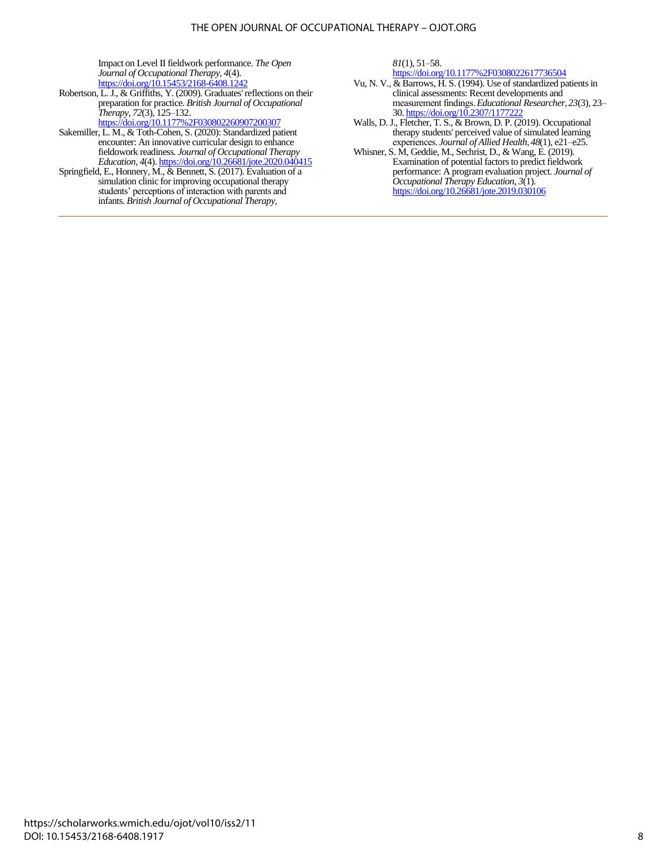#### THE OPEN JOURNAL OF OCCUPATIONAL THERAPY – OJOT.ORG

Impact on Level II fieldwork performance. *The Open Journal of Occupational Therapy*, *4*(4). <https://doi.org/10.15453/2168-6408.1242>

- Robertson, L. J., & Griffiths, Y. (2009). Graduates' reflections on their preparation for practice. *British Journal of Occupational Therapy*, *72*(3), 125–132.
- <https://doi.org/10.1177%2F030802260907200307> Sakemiller, L. M., & Toth-Cohen, S. (2020): Standardized patient encounter: An innovative curricular design to enhance fieldowork readiness. *Journal of Occupational Therapy Education, 4*(4)[. https://doi.org/10.26681/jote.2020.040415](https://doi.org/10.26681/jote.2020.040415)
- Springfield, E., Honnery, M., & Bennett, S. (2017). Evaluation of a simulation clinic for improving occupational therapy students' perceptions of interaction with parents and infants. *British Journal of Occupational Therapy*,

*81*(1), 51–58.

<https://doi.org/10.1177%2F0308022617736504>

- Vu, N. V., & Barrows, H. S. (1994). Use of standardized patients in clinical assessments: Recent developments and measurement findings. *Educational Researcher*, *23*(3), 23– 30. <https://doi.org/10.2307/1177222>
- Walls, D. J., Fletcher, T. S., & Brown, D. P. (2019). Occupational therapy students' perceived value of simulated learning experiences. *Journal of Allied Health*, *48*(1), e21–e25.
- Whisner, S. M, Geddie, M., Sechrist, D., & Wang, E. (2019). Examination of potential factors to predict fieldwork performance: A program evaluation project. *Journal of Occupational Therapy Education, 3*(1). <https://doi.org/10.26681/jote.2019.030106>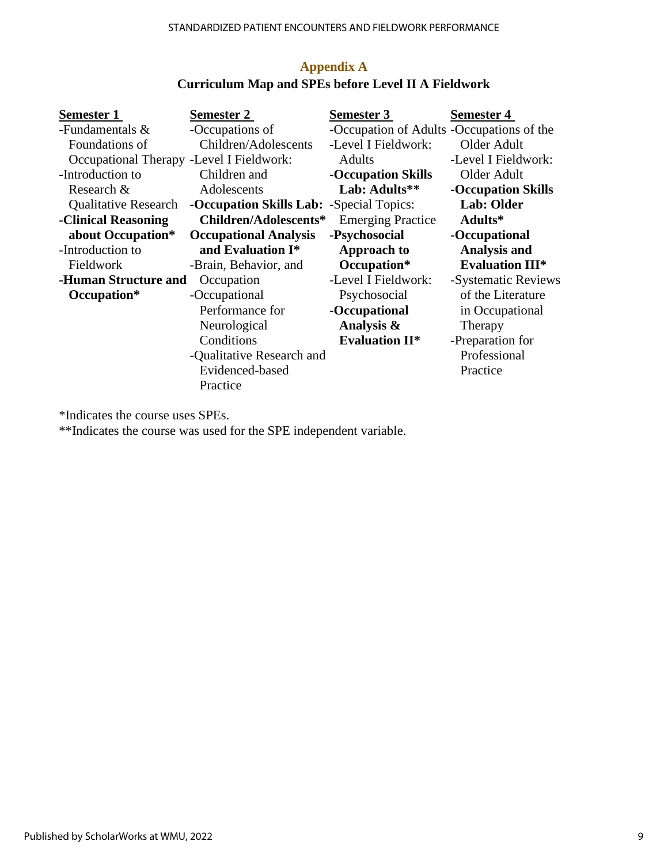| <b>Semester 1</b>                        | Semester 2                                      | <b>Semester 3</b>                         | <b>Semester 4</b>      |
|------------------------------------------|-------------------------------------------------|-------------------------------------------|------------------------|
| -Fundamentals &                          | -Occupations of                                 | -Occupation of Adults -Occupations of the |                        |
| Foundations of                           | Children/Adolescents                            | -Level I Fieldwork:                       | Older Adult            |
| Occupational Therapy -Level I Fieldwork: |                                                 | <b>Adults</b>                             | -Level I Fieldwork:    |
| -Introduction to                         | Children and                                    | -Occupation Skills                        | Older Adult            |
| Research &                               | Adolescents                                     | Lab: Adults**                             | -Occupation Skills     |
| <b>Qualitative Research</b>              | <b>-Occupation Skills Lab:</b> -Special Topics: |                                           | Lab: Older             |
| -Clinical Reasoning                      | Children/Adolescents*                           | <b>Emerging Practice</b>                  | Adults*                |
| about Occupation*                        | <b>Occupational Analysis</b>                    | -Psychosocial                             | -Occupational          |
| -Introduction to                         | and Evaluation I*                               | Approach to                               | <b>Analysis and</b>    |
| Fieldwork                                | -Brain, Behavior, and                           | Occupation*                               | <b>Evaluation III*</b> |
| -Human Structure and                     | Occupation                                      | -Level I Fieldwork:                       | -Systematic Reviews    |
| Occupation*                              | -Occupational                                   | Psychosocial                              | of the Literature      |
|                                          | Performance for                                 | -Occupational                             | in Occupational        |
|                                          | Neurological                                    | Analysis &                                | Therapy                |
|                                          | Conditions                                      | <b>Evaluation II*</b>                     | -Preparation for       |
|                                          | -Qualitative Research and                       |                                           | Professional           |
|                                          | Evidenced-based                                 |                                           | Practice               |
|                                          | Practice                                        |                                           |                        |

## **Appendix A Curriculum Map and SPEs before Level II A Fieldwork**

\*Indicates the course uses SPEs.

\*\*Indicates the course was used for the SPE independent variable.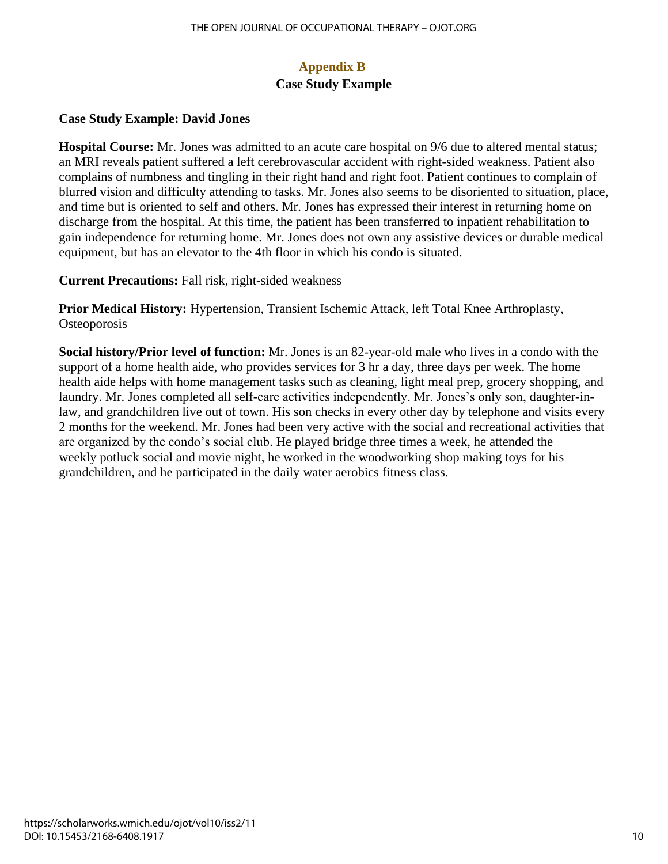## **Appendix B Case Study Example**

## **Case Study Example: David Jones**

**Hospital Course:** Mr. Jones was admitted to an acute care hospital on 9/6 due to altered mental status; an MRI reveals patient suffered a left cerebrovascular accident with right-sided weakness. Patient also complains of numbness and tingling in their right hand and right foot. Patient continues to complain of blurred vision and difficulty attending to tasks. Mr. Jones also seems to be disoriented to situation, place, and time but is oriented to self and others. Mr. Jones has expressed their interest in returning home on discharge from the hospital. At this time, the patient has been transferred to inpatient rehabilitation to gain independence for returning home. Mr. Jones does not own any assistive devices or durable medical equipment, but has an elevator to the 4th floor in which his condo is situated.

**Current Precautions:** Fall risk, right-sided weakness

**Prior Medical History:** Hypertension, Transient Ischemic Attack, left Total Knee Arthroplasty, **Osteoporosis** 

**Social history/Prior level of function:** Mr. Jones is an 82-year-old male who lives in a condo with the support of a home health aide, who provides services for 3 hr a day, three days per week. The home health aide helps with home management tasks such as cleaning, light meal prep, grocery shopping, and laundry. Mr. Jones completed all self-care activities independently. Mr. Jones's only son, daughter-inlaw, and grandchildren live out of town. His son checks in every other day by telephone and visits every 2 months for the weekend. Mr. Jones had been very active with the social and recreational activities that are organized by the condo's social club. He played bridge three times a week, he attended the weekly potluck social and movie night, he worked in the woodworking shop making toys for his grandchildren, and he participated in the daily water aerobics fitness class.